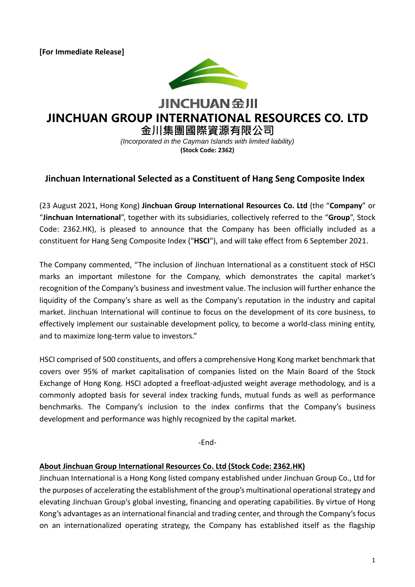**[For Immediate Release]**



# **JINCHUAN 金川 JINCHUAN GROUP INTERNATIONAL RESOURCES CO. LTD**

**金川集團國際資源有限公司** *(Incorporated in the Cayman Islands with limited liability)* **(Stock Code: 2362)**

## **Jinchuan International Selected as a Constituent of Hang Seng Composite Index**

(23 August 2021, Hong Kong) **Jinchuan Group International Resources Co. Ltd** (the "**Company**" or "**Jinchuan International**", together with its subsidiaries, collectively referred to the "**Group**", Stock Code: 2362.HK), is pleased to announce that the Company has been officially included as a constituent for Hang Seng Composite Index ("**HSCI**"), and will take effect from 6 September 2021.

The Company commented, "The inclusion of Jinchuan International as a constituent stock of HSCI marks an important milestone for the Company, which demonstrates the capital market's recognition of the Company's business and investment value. The inclusion will further enhance the liquidity of the Company's share as well as the Company's reputation in the industry and capital market. Jinchuan International will continue to focus on the development of its core business, to effectively implement our sustainable development policy, to become a world-class mining entity, and to maximize long-term value to investors."

HSCI comprised of 500 constituents, and offers a comprehensive Hong Kong market benchmark that covers over 95% of market capitalisation of companies listed on the Main Board of the Stock Exchange of Hong Kong. HSCI adopted a freefloat-adjusted weight average methodology, and is a commonly adopted basis for several index tracking funds, mutual funds as well as performance benchmarks. The Company's inclusion to the index confirms that the Company's business development and performance was highly recognized by the capital market.

-End-

#### **About Jinchuan Group International Resources Co. Ltd (Stock Code: 2362.HK)**

Jinchuan International is a Hong Kong listed company established under Jinchuan Group Co., Ltd for the purposes of accelerating the establishment of the group's multinational operational strategy and elevating Jinchuan Group's global investing, financing and operating capabilities. By virtue of Hong Kong's advantages as an international financial and trading center, and through the Company's focus on an internationalized operating strategy, the Company has established itself as the flagship